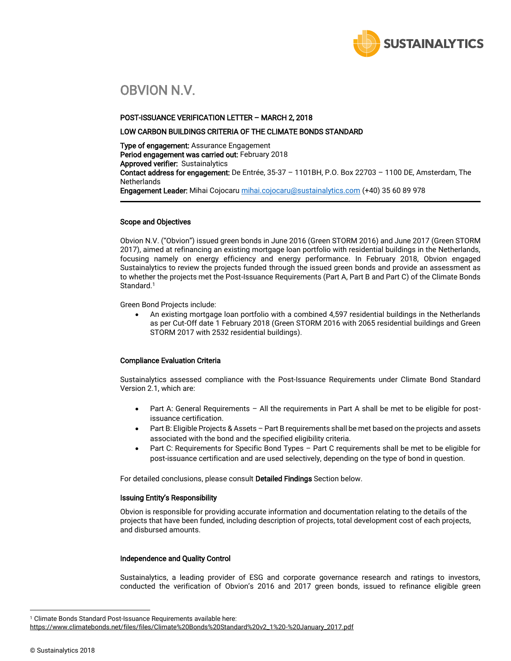

# OBVION N.V.

## POST-ISSUANCE VERIFICATION LETTER – MARCH 2, 2018

## LOW CARBON BUILDINGS CRITERIA OF THE CLIMATE BONDS STANDARD

Type of engagement: Assurance Engagement Period engagement was carried out: February 2018 Approved verifier: Sustainalytics Contact address for engagement: De Entrée, 35-37 – 1101BH, P.O. Box 22703 – 1100 DE, Amsterdam, The **Netherlands** Engagement Leader: Mihai Cojocar[u mihai.cojocaru@sustainalytics.com](mailto:mihai.cojocaru@sustainalytics.com) (+40) 35 60 89 978

### Scope and Objectives

Obvion N.V. ("Obvion") issued green bonds in June 2016 (Green STORM 2016) and June 2017 (Green STORM 2017), aimed at refinancing an existing mortgage loan portfolio with residential buildings in the Netherlands, focusing namely on energy efficiency and energy performance. In February 2018, Obvion engaged Sustainalytics to review the projects funded through the issued green bonds and provide an assessment as to whether the projects met the Post-Issuance Requirements (Part A, Part B and Part C) of the Climate Bonds Standard.<sup>1</sup>

Green Bond Projects include:

• An existing mortgage loan portfolio with a combined 4,597 residential buildings in the Netherlands as per Cut-Off date 1 February 2018 (Green STORM 2016 with 2065 residential buildings and Green STORM 2017 with 2532 residential buildings).

# Compliance Evaluation Criteria

Sustainalytics assessed compliance with the Post-Issuance Requirements under Climate Bond Standard Version 2.1, which are:

- Part A: General Requirements All the requirements in Part A shall be met to be eligible for postissuance certification.
- Part B: Eligible Projects & Assets Part B requirements shall be met based on the projects and assets associated with the bond and the specified eligibility criteria.
- Part C: Requirements for Specific Bond Types Part C requirements shall be met to be eligible for post-issuance certification and are used selectively, depending on the type of bond in question.

For detailed conclusions, please consult Detailed Findings Section below.

# Issuing Entity's Responsibility

Obvion is responsible for providing accurate information and documentation relating to the details of the projects that have been funded, including description of projects, total development cost of each projects, and disbursed amounts.

# Independence and Quality Control

Sustainalytics, a leading provider of ESG and corporate governance research and ratings to investors, conducted the verification of Obvion's 2016 and 2017 green bonds, issued to refinance eligible green

 $\overline{a}$ 

<sup>&</sup>lt;sup>1</sup> Climate Bonds Standard Post-Issuance Requirements available here:

[https://www.climatebonds.net/files/files/Climate%20Bonds%20Standard%20v2\\_1%20-%20January\\_2017.pdf](https://www.climatebonds.net/files/files/Climate%20Bonds%20Standard%20v2_1%20-%20January_2017.pdf)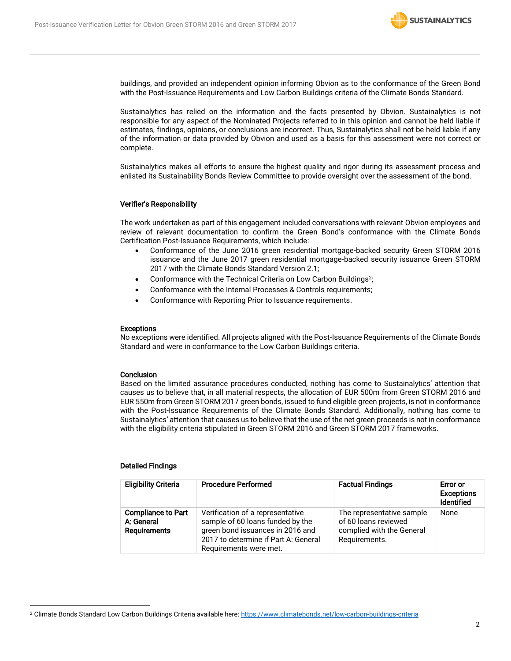

buildings, and provided an independent opinion informing Obvion as to the conformance of the Green Bond with the Post-Issuance Requirements and Low Carbon Buildings criteria of the Climate Bonds Standard.

Sustainalytics has relied on the information and the facts presented by Obvion. Sustainalytics is not responsible for any aspect of the Nominated Projects referred to in this opinion and cannot be held liable if estimates, findings, opinions, or conclusions are incorrect. Thus, Sustainalytics shall not be held liable if any of the information or data provided by Obvion and used as a basis for this assessment were not correct or complete.

Sustainalytics makes all efforts to ensure the highest quality and rigor during its assessment process and enlisted its Sustainability Bonds Review Committee to provide oversight over the assessment of the bond.

# Verifier's Responsibility

The work undertaken as part of this engagement included conversations with relevant Obvion employees and review of relevant documentation to confirm the Green Bond's conformance with the Climate Bonds Certification Post-Issuance Requirements, which include:

- Conformance of the June 2016 green residential mortgage-backed security Green STORM 2016 issuance and the June 2017 green residential mortgage-backed security issuance Green STORM 2017 with the Climate Bonds Standard Version 2.1;
- Conformance with the Technical Criteria on Low Carbon Buildings<sup>2</sup>;
- Conformance with the Internal Processes & Controls requirements;
- Conformance with Reporting Prior to Issuance requirements.

#### **Exceptions**

No exceptions were identified. All projects aligned with the Post-Issuance Requirements of the Climate Bonds Standard and were in conformance to the Low Carbon Buildings criteria.

#### **Conclusion**

Based on the limited assurance procedures conducted, nothing has come to Sustainalytics' attention that causes us to believe that, in all material respects, the allocation of EUR 500m from Green STORM 2016 and EUR 550m from Green STORM 2017 green bonds, issued to fund eligible green projects, is not in conformance with the Post-Issuance Requirements of the Climate Bonds Standard. Additionally, nothing has come to Sustainalytics' attention that causes us to believe that the use of the net green proceeds is not in conformance with the eligibility criteria stipulated in Green STORM 2016 and Green STORM 2017 frameworks.

#### Detailed Findings

 $\overline{a}$ 

| <b>Eligibility Criteria</b>                                    | <b>Procedure Performed</b>                                                                                                                                                 | <b>Factual Findings</b>                                                                         | Error or<br><b>Exceptions</b><br><b>Identified</b> |
|----------------------------------------------------------------|----------------------------------------------------------------------------------------------------------------------------------------------------------------------------|-------------------------------------------------------------------------------------------------|----------------------------------------------------|
| <b>Compliance to Part</b><br>A: General<br><b>Requirements</b> | Verification of a representative<br>sample of 60 loans funded by the<br>green bond issuances in 2016 and<br>2017 to determine if Part A: General<br>Requirements were met. | The representative sample<br>of 60 loans reviewed<br>complied with the General<br>Requirements. | None                                               |

<sup>2</sup> Climate Bonds Standard Low Carbon Buildings Criteria available here:<https://www.climatebonds.net/low-carbon-buildings-criteria>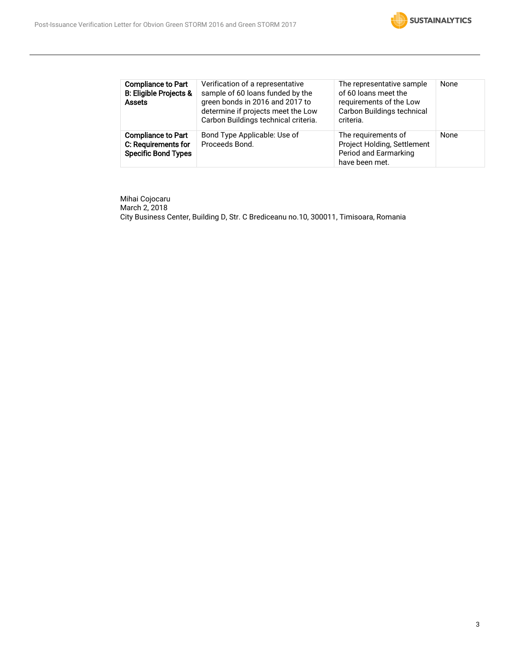

| <b>Compliance to Part</b><br><b>B: Eligible Projects &amp;</b><br><b>Assets</b> | Verification of a representative<br>sample of 60 loans funded by the<br>green bonds in 2016 and 2017 to<br>determine if projects meet the Low<br>Carbon Buildings technical criteria. | The representative sample<br>of 60 loans meet the<br>requirements of the Low<br>Carbon Buildings technical<br>criteria. | None |
|---------------------------------------------------------------------------------|---------------------------------------------------------------------------------------------------------------------------------------------------------------------------------------|-------------------------------------------------------------------------------------------------------------------------|------|
| <b>Compliance to Part</b><br>C: Requirements for<br><b>Specific Bond Types</b>  | Bond Type Applicable: Use of<br>Proceeds Bond.                                                                                                                                        | The requirements of<br>Project Holding, Settlement<br>Period and Earmarking<br>have been met.                           | None |

Mihai Cojocaru March 2, 2018 City Business Center, Building D, Str. C Brediceanu no.10, 300011, Timisoara, Romania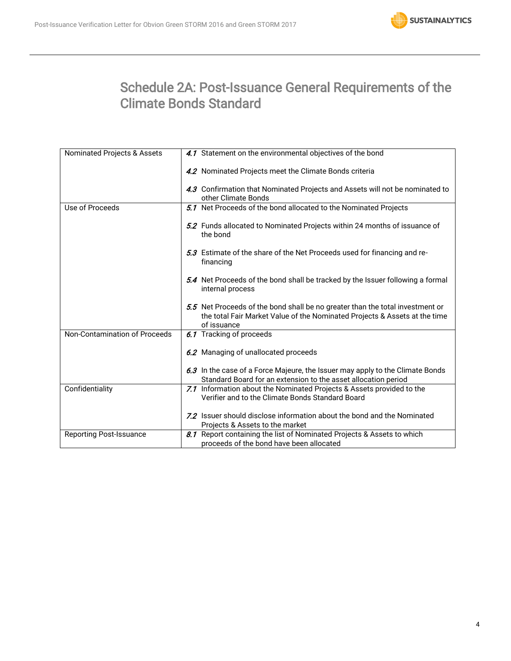

# Schedule 2A: Post-Issuance General Requirements of the Climate Bonds Standard

| Nominated Projects & Assets    | 4.1 Statement on the environmental objectives of the bond                                                                                                                  |
|--------------------------------|----------------------------------------------------------------------------------------------------------------------------------------------------------------------------|
|                                | 4.2 Nominated Projects meet the Climate Bonds criteria                                                                                                                     |
|                                | 4.3 Confirmation that Nominated Projects and Assets will not be nominated to<br>other Climate Bonds                                                                        |
| Use of Proceeds                | 5.1 Net Proceeds of the bond allocated to the Nominated Projects                                                                                                           |
|                                | 5.2 Funds allocated to Nominated Projects within 24 months of issuance of<br>the bond                                                                                      |
|                                | 5.3 Estimate of the share of the Net Proceeds used for financing and re-<br>financing                                                                                      |
|                                | 5.4 Net Proceeds of the bond shall be tracked by the Issuer following a formal<br>internal process                                                                         |
|                                | 5.5 Net Proceeds of the bond shall be no greater than the total investment or<br>the total Fair Market Value of the Nominated Projects & Assets at the time<br>of issuance |
| Non-Contamination of Proceeds  | 6.1 Tracking of proceeds                                                                                                                                                   |
|                                | 6.2 Managing of unallocated proceeds                                                                                                                                       |
|                                | 6.3 In the case of a Force Majeure, the Issuer may apply to the Climate Bonds<br>Standard Board for an extension to the asset allocation period                            |
| Confidentiality                | 7.1 Information about the Nominated Projects & Assets provided to the<br>Verifier and to the Climate Bonds Standard Board                                                  |
|                                | 7.2 Issuer should disclose information about the bond and the Nominated<br>Projects & Assets to the market                                                                 |
| <b>Reporting Post-Issuance</b> | 8.1 Report containing the list of Nominated Projects & Assets to which<br>proceeds of the bond have been allocated                                                         |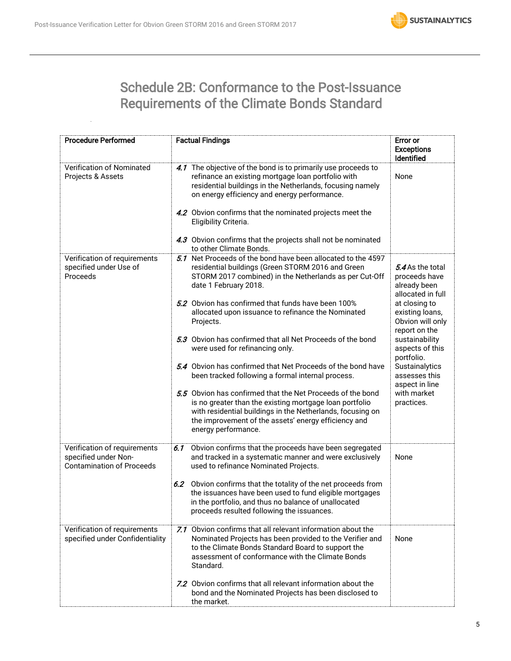

# Schedule 2B: Conformance to the Post-Issuance Requirements of the Climate Bonds Standard

| <b>Procedure Performed</b>                                                               | <b>Factual Findings</b>                                                                                                                                                                                                                                                                                                                                                                                                                                                                                                                                                                                                                                                                                                                                                                                                  | <b>Error or</b><br><b>Exceptions</b><br>Identified                                                                                                                                                                                                                                   |
|------------------------------------------------------------------------------------------|--------------------------------------------------------------------------------------------------------------------------------------------------------------------------------------------------------------------------------------------------------------------------------------------------------------------------------------------------------------------------------------------------------------------------------------------------------------------------------------------------------------------------------------------------------------------------------------------------------------------------------------------------------------------------------------------------------------------------------------------------------------------------------------------------------------------------|--------------------------------------------------------------------------------------------------------------------------------------------------------------------------------------------------------------------------------------------------------------------------------------|
| Verification of Nominated<br>Projects & Assets                                           | 4.1 The objective of the bond is to primarily use proceeds to<br>refinance an existing mortgage loan portfolio with<br>residential buildings in the Netherlands, focusing namely<br>on energy efficiency and energy performance.<br>4.2 Obvion confirms that the nominated projects meet the<br>Eligibility Criteria.<br>4.3 Obvion confirms that the projects shall not be nominated<br>to other Climate Bonds.                                                                                                                                                                                                                                                                                                                                                                                                         | None                                                                                                                                                                                                                                                                                 |
| Verification of requirements<br>specified under Use of<br>Proceeds                       | 5.1 Net Proceeds of the bond have been allocated to the 4597<br>residential buildings (Green STORM 2016 and Green<br>STORM 2017 combined) in the Netherlands as per Cut-Off<br>date 1 February 2018.<br>5.2 Obvion has confirmed that funds have been 100%<br>allocated upon issuance to refinance the Nominated<br>Projects.<br>5.3 Obvion has confirmed that all Net Proceeds of the bond<br>were used for refinancing only.<br>5.4 Obvion has confirmed that Net Proceeds of the bond have<br>been tracked following a formal internal process.<br>5.5 Obvion has confirmed that the Net Proceeds of the bond<br>is no greater than the existing mortgage loan portfolio<br>with residential buildings in the Netherlands, focusing on<br>the improvement of the assets' energy efficiency and<br>energy performance. | 5.4 As the total<br>proceeds have<br>already been<br>allocated in full<br>at closing to<br>existing loans,<br>Obvion will only<br>report on the<br>sustainability<br>aspects of this<br>portfolio.<br>Sustainalytics<br>assesses this<br>aspect in line<br>with market<br>practices. |
| Verification of requirements<br>specified under Non-<br><b>Contamination of Proceeds</b> | Obvion confirms that the proceeds have been segregated<br>6.1<br>and tracked in a systematic manner and were exclusively<br>used to refinance Nominated Projects.<br>6.2 Obvion confirms that the totality of the net proceeds from<br>the issuances have been used to fund eligible mortgages<br>in the portfolio, and thus no balance of unallocated<br>proceeds resulted following the issuances.                                                                                                                                                                                                                                                                                                                                                                                                                     | None                                                                                                                                                                                                                                                                                 |
| Verification of requirements<br>specified under Confidentiality                          | 7.1 Obvion confirms that all relevant information about the<br>Nominated Projects has been provided to the Verifier and<br>to the Climate Bonds Standard Board to support the<br>assessment of conformance with the Climate Bonds<br>Standard.<br>7.2 Obvion confirms that all relevant information about the<br>bond and the Nominated Projects has been disclosed to<br>the market.                                                                                                                                                                                                                                                                                                                                                                                                                                    | None                                                                                                                                                                                                                                                                                 |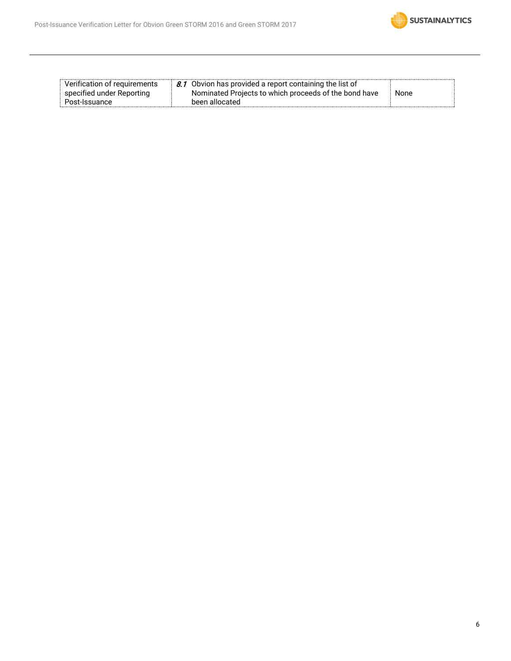

| Verification of requirements | $\parallel$ 8.1 Obvion has provided a report containing the list of |      |
|------------------------------|---------------------------------------------------------------------|------|
| specified under Reporting    | Nominated Projects to which proceeds of the bond have               | None |
| Post-Issuance                | been allocated                                                      |      |